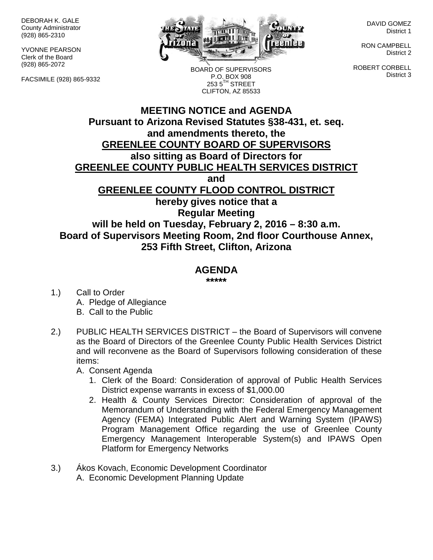DEBORAH K. GALE County Administrator (928) 865-2310

YVONNE PEARSON Clerk of the Board (928) 865-2072

FACSIMILE (928) 865-9332



BOARD OF SUPERVISORS P.O. BOX 908  $2535^{\text{TH}}$  STREET CLIFTON, AZ 85533

DAVID GOMEZ District 1

RON CAMPBELL District 2

ROBERT CORBELL District 3

## **MEETING NOTICE and AGENDA Pursuant to Arizona Revised Statutes §38-431, et. seq. and amendments thereto, the GREENLEE COUNTY BOARD OF SUPERVISORS also sitting as Board of Directors for GREENLEE COUNTY PUBLIC HEALTH SERVICES DISTRICT and GREENLEE COUNTY FLOOD CONTROL DISTRICT hereby gives notice that a Regular Meeting will be held on Tuesday, February 2, 2016 – 8:30 a.m. Board of Supervisors Meeting Room, 2nd floor Courthouse Annex, 253 Fifth Street, Clifton, Arizona**

## **AGENDA**

**\*\*\*\*\***

- 1.) Call to Order A. Pledge of Allegiance B. Call to the Public
- 2.) PUBLIC HEALTH SERVICES DISTRICT the Board of Supervisors will convene as the Board of Directors of the Greenlee County Public Health Services District and will reconvene as the Board of Supervisors following consideration of these items:

A. Consent Agenda

- 1. Clerk of the Board: Consideration of approval of Public Health Services District expense warrants in excess of \$1,000.00
- 2. Health & County Services Director: Consideration of approval of the Memorandum of Understanding with the Federal Emergency Management Agency (FEMA) Integrated Public Alert and Warning System (IPAWS) Program Management Office regarding the use of Greenlee County Emergency Management Interoperable System(s) and IPAWS Open Platform for Emergency Networks
- 3.) Ákos Kovach, Economic Development Coordinator A. Economic Development Planning Update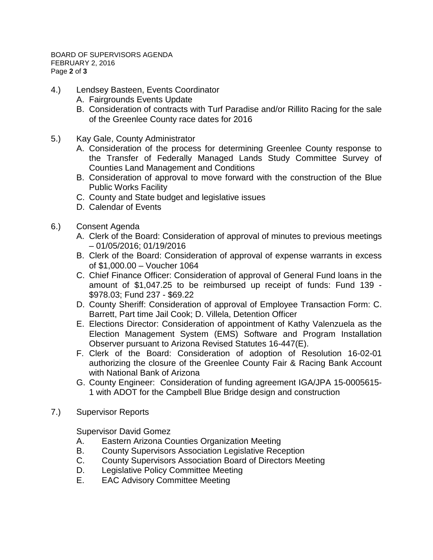- 4.) Lendsey Basteen, Events Coordinator
	- A. Fairgrounds Events Update
	- B. Consideration of contracts with Turf Paradise and/or Rillito Racing for the sale of the Greenlee County race dates for 2016
- 5.) Kay Gale, County Administrator
	- A. Consideration of the process for determining Greenlee County response to the Transfer of Federally Managed Lands Study Committee Survey of Counties Land Management and Conditions
	- B. Consideration of approval to move forward with the construction of the Blue Public Works Facility
	- C. County and State budget and legislative issues
	- D. Calendar of Events
- 6.) Consent Agenda
	- A. Clerk of the Board: Consideration of approval of minutes to previous meetings – 01/05/2016; 01/19/2016
	- B. Clerk of the Board: Consideration of approval of expense warrants in excess of \$1,000.00 – Voucher 1064
	- C. Chief Finance Officer: Consideration of approval of General Fund loans in the amount of \$1,047.25 to be reimbursed up receipt of funds: Fund 139 - \$978.03; Fund 237 - \$69.22
	- D. County Sheriff: Consideration of approval of Employee Transaction Form: C. Barrett, Part time Jail Cook; D. Villela, Detention Officer
	- E. Elections Director: Consideration of appointment of Kathy Valenzuela as the Election Management System (EMS) Software and Program Installation Observer pursuant to Arizona Revised Statutes 16-447(E).
	- F. Clerk of the Board: Consideration of adoption of Resolution 16-02-01 authorizing the closure of the Greenlee County Fair & Racing Bank Account with National Bank of Arizona
	- G. County Engineer: Consideration of funding agreement IGA/JPA 15-0005615- 1 with ADOT for the Campbell Blue Bridge design and construction
- 7.) Supervisor Reports

Supervisor David Gomez

- A. Eastern Arizona Counties Organization Meeting
- B. County Supervisors Association Legislative Reception
- C. County Supervisors Association Board of Directors Meeting
- D. Legislative Policy Committee Meeting
- E. EAC Advisory Committee Meeting